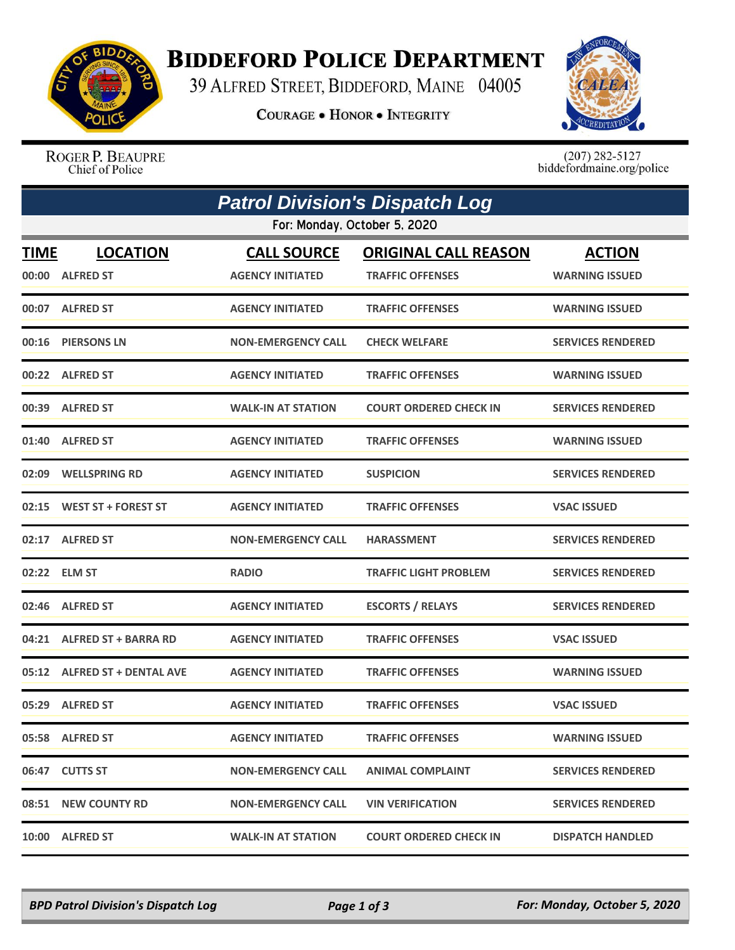

## **BIDDEFORD POLICE DEPARTMENT**

39 ALFRED STREET, BIDDEFORD, MAINE 04005

**COURAGE . HONOR . INTEGRITY** 



ROGER P. BEAUPRE Chief of Police

 $(207)$  282-5127<br>biddefordmaine.org/police

| <b>Patrol Division's Dispatch Log</b> |                                    |                                               |                                                        |                                        |  |  |  |  |
|---------------------------------------|------------------------------------|-----------------------------------------------|--------------------------------------------------------|----------------------------------------|--|--|--|--|
| For: Monday, October 5, 2020          |                                    |                                               |                                                        |                                        |  |  |  |  |
| <b>TIME</b>                           | <b>LOCATION</b><br>00:00 ALFRED ST | <b>CALL SOURCE</b><br><b>AGENCY INITIATED</b> | <b>ORIGINAL CALL REASON</b><br><b>TRAFFIC OFFENSES</b> | <b>ACTION</b><br><b>WARNING ISSUED</b> |  |  |  |  |
|                                       | 00:07 ALFRED ST                    | <b>AGENCY INITIATED</b>                       | <b>TRAFFIC OFFENSES</b>                                | <b>WARNING ISSUED</b>                  |  |  |  |  |
|                                       | 00:16 PIERSONS LN                  | <b>NON-EMERGENCY CALL</b>                     | <b>CHECK WELFARE</b>                                   | <b>SERVICES RENDERED</b>               |  |  |  |  |
|                                       | 00:22 ALFRED ST                    | <b>AGENCY INITIATED</b>                       | <b>TRAFFIC OFFENSES</b>                                | <b>WARNING ISSUED</b>                  |  |  |  |  |
|                                       | 00:39 ALFRED ST                    | <b>WALK-IN AT STATION</b>                     | <b>COURT ORDERED CHECK IN</b>                          | <b>SERVICES RENDERED</b>               |  |  |  |  |
|                                       | 01:40 ALFRED ST                    | <b>AGENCY INITIATED</b>                       | <b>TRAFFIC OFFENSES</b>                                | <b>WARNING ISSUED</b>                  |  |  |  |  |
|                                       | 02:09 WELLSPRING RD                | <b>AGENCY INITIATED</b>                       | <b>SUSPICION</b>                                       | <b>SERVICES RENDERED</b>               |  |  |  |  |
|                                       | 02:15 WEST ST + FOREST ST          | <b>AGENCY INITIATED</b>                       | <b>TRAFFIC OFFENSES</b>                                | <b>VSAC ISSUED</b>                     |  |  |  |  |
|                                       | 02:17 ALFRED ST                    | <b>NON-EMERGENCY CALL</b>                     | <b>HARASSMENT</b>                                      | <b>SERVICES RENDERED</b>               |  |  |  |  |
|                                       | 02:22 ELM ST                       | <b>RADIO</b>                                  | <b>TRAFFIC LIGHT PROBLEM</b>                           | <b>SERVICES RENDERED</b>               |  |  |  |  |
|                                       | 02:46 ALFRED ST                    | <b>AGENCY INITIATED</b>                       | <b>ESCORTS / RELAYS</b>                                | <b>SERVICES RENDERED</b>               |  |  |  |  |
|                                       | 04:21 ALFRED ST + BARRA RD         | <b>AGENCY INITIATED</b>                       | <b>TRAFFIC OFFENSES</b>                                | <b>VSAC ISSUED</b>                     |  |  |  |  |
|                                       | 05:12 ALFRED ST + DENTAL AVE       | <b>AGENCY INITIATED</b>                       | <b>TRAFFIC OFFENSES</b>                                | <b>WARNING ISSUED</b>                  |  |  |  |  |
|                                       | 05:29 ALFRED ST                    | <b>AGENCY INITIATED</b>                       | <b>TRAFFIC OFFENSES</b>                                | <b>VSAC ISSUED</b>                     |  |  |  |  |
|                                       | 05:58 ALFRED ST                    | <b>AGENCY INITIATED</b>                       | <b>TRAFFIC OFFENSES</b>                                | <b>WARNING ISSUED</b>                  |  |  |  |  |
|                                       | 06:47 CUTTS ST                     | <b>NON-EMERGENCY CALL</b>                     | <b>ANIMAL COMPLAINT</b>                                | <b>SERVICES RENDERED</b>               |  |  |  |  |
|                                       | 08:51 NEW COUNTY RD                | <b>NON-EMERGENCY CALL</b>                     | <b>VIN VERIFICATION</b>                                | <b>SERVICES RENDERED</b>               |  |  |  |  |
|                                       | 10:00 ALFRED ST                    | <b>WALK-IN AT STATION</b>                     | <b>COURT ORDERED CHECK IN</b>                          | <b>DISPATCH HANDLED</b>                |  |  |  |  |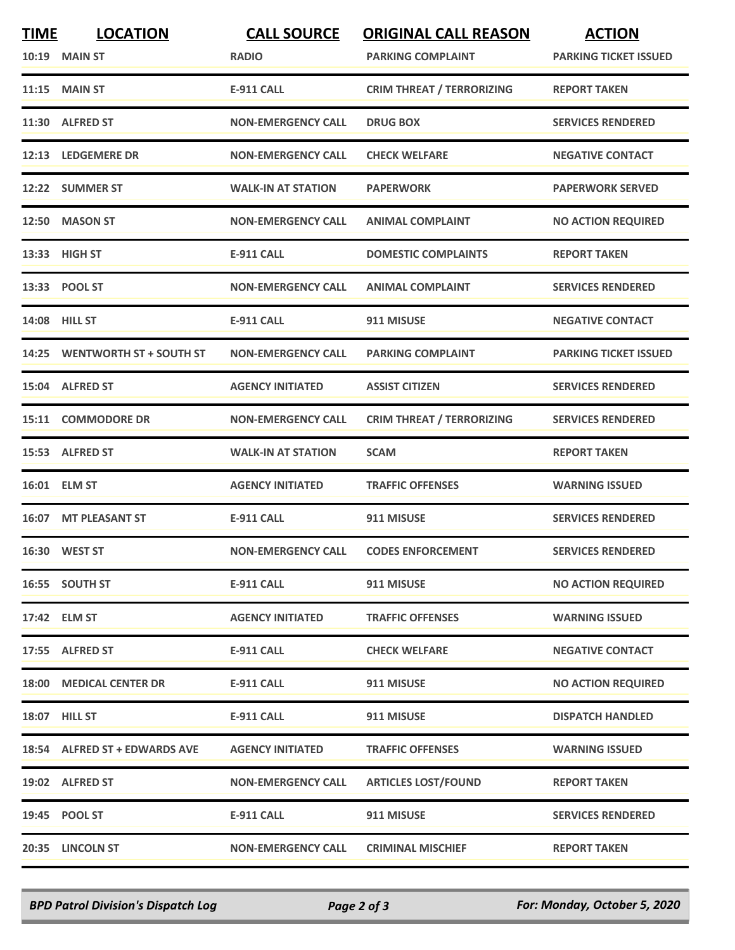| <b>TIME</b> | <b>LOCATION</b><br><b>10:19 MAIN ST</b> | <b>CALL SOURCE</b><br><b>RADIO</b> | <b>ORIGINAL CALL REASON</b><br><b>PARKING COMPLAINT</b> | <b>ACTION</b><br><b>PARKING TICKET ISSUED</b> |
|-------------|-----------------------------------------|------------------------------------|---------------------------------------------------------|-----------------------------------------------|
|             | <b>11:15 MAIN ST</b>                    | <b>E-911 CALL</b>                  | <b>CRIM THREAT / TERRORIZING</b>                        | <b>REPORT TAKEN</b>                           |
|             | 11:30 ALFRED ST                         | <b>NON-EMERGENCY CALL</b>          | <b>DRUG BOX</b>                                         | <b>SERVICES RENDERED</b>                      |
|             | 12:13 LEDGEMERE DR                      | <b>NON-EMERGENCY CALL</b>          | <b>CHECK WELFARE</b>                                    | <b>NEGATIVE CONTACT</b>                       |
|             | 12:22 SUMMER ST                         | <b>WALK-IN AT STATION</b>          | <b>PAPERWORK</b>                                        | <b>PAPERWORK SERVED</b>                       |
|             | 12:50 MASON ST                          | <b>NON-EMERGENCY CALL</b>          | <b>ANIMAL COMPLAINT</b>                                 | <b>NO ACTION REQUIRED</b>                     |
|             | 13:33 HIGH ST                           | <b>E-911 CALL</b>                  | <b>DOMESTIC COMPLAINTS</b>                              | <b>REPORT TAKEN</b>                           |
|             | 13:33 POOL ST                           | <b>NON-EMERGENCY CALL</b>          | <b>ANIMAL COMPLAINT</b>                                 | <b>SERVICES RENDERED</b>                      |
|             | <b>14:08 HILL ST</b>                    | <b>E-911 CALL</b>                  | 911 MISUSE                                              | <b>NEGATIVE CONTACT</b>                       |
|             | 14:25 WENTWORTH ST + SOUTH ST           | <b>NON-EMERGENCY CALL</b>          | <b>PARKING COMPLAINT</b>                                | <b>PARKING TICKET ISSUED</b>                  |
|             | 15:04 ALFRED ST                         | <b>AGENCY INITIATED</b>            | <b>ASSIST CITIZEN</b>                                   | <b>SERVICES RENDERED</b>                      |
|             | 15:11 COMMODORE DR                      | <b>NON-EMERGENCY CALL</b>          | <b>CRIM THREAT / TERRORIZING</b>                        | <b>SERVICES RENDERED</b>                      |
|             | 15:53 ALFRED ST                         | <b>WALK-IN AT STATION</b>          | <b>SCAM</b>                                             | <b>REPORT TAKEN</b>                           |
|             | 16:01 ELM ST                            | <b>AGENCY INITIATED</b>            | <b>TRAFFIC OFFENSES</b>                                 | <b>WARNING ISSUED</b>                         |
|             | 16:07 MT PLEASANT ST                    | <b>E-911 CALL</b>                  | 911 MISUSE                                              | <b>SERVICES RENDERED</b>                      |
|             | <b>16:30 WEST ST</b>                    | <b>NON-EMERGENCY CALL</b>          | <b>CODES ENFORCEMENT</b>                                | <b>SERVICES RENDERED</b>                      |
|             | 16:55 SOUTH ST                          | <b>E-911 CALL</b>                  | 911 MISUSE                                              | <b>NO ACTION REQUIRED</b>                     |
|             | 17:42 ELM ST                            | <b>AGENCY INITIATED</b>            | <b>TRAFFIC OFFENSES</b>                                 | <b>WARNING ISSUED</b>                         |
|             | 17:55 ALFRED ST                         | <b>E-911 CALL</b>                  | <b>CHECK WELFARE</b>                                    | <b>NEGATIVE CONTACT</b>                       |
|             | 18:00 MEDICAL CENTER DR                 | <b>E-911 CALL</b>                  | 911 MISUSE                                              | <b>NO ACTION REQUIRED</b>                     |
|             | 18:07 HILL ST                           | E-911 CALL                         | 911 MISUSE                                              | <b>DISPATCH HANDLED</b>                       |
|             | 18:54 ALFRED ST + EDWARDS AVE           | <b>AGENCY INITIATED</b>            | <b>TRAFFIC OFFENSES</b>                                 | <b>WARNING ISSUED</b>                         |
|             | 19:02 ALFRED ST                         | <b>NON-EMERGENCY CALL</b>          | <b>ARTICLES LOST/FOUND</b>                              | <b>REPORT TAKEN</b>                           |
|             | 19:45 POOL ST                           | E-911 CALL                         | 911 MISUSE                                              | <b>SERVICES RENDERED</b>                      |
|             | 20:35 LINCOLN ST                        | <b>NON-EMERGENCY CALL</b>          | <b>CRIMINAL MISCHIEF</b>                                | <b>REPORT TAKEN</b>                           |

*BPD Patrol Division's Dispatch Log Page 2 of 3 For: Monday, October 5, 2020*